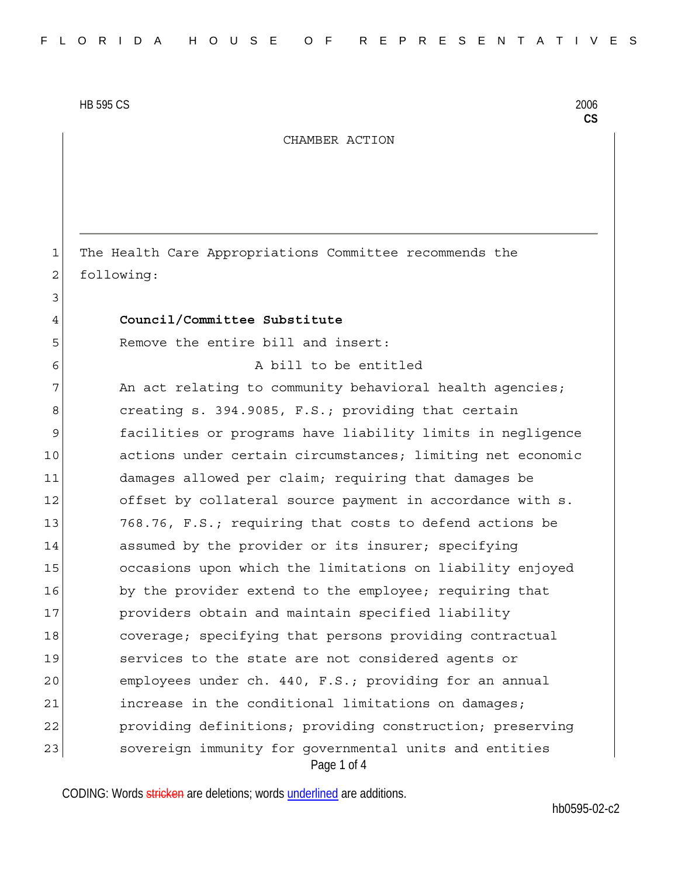HB 595 CS 2006

3

CHAMBER ACTION

1 The Health Care Appropriations Committee recommends the 2 following:

## 4 **Council/Committee Substitute**

5 Remove the entire bill and insert:

6 A bill to be entitled

Page 1 of 4 7 An act relating to community behavioral health agencies; 8 creating s. 394.9085, F.S.; providing that certain 9 facilities or programs have liability limits in negligence 10 actions under certain circumstances; limiting net economic 11 damages allowed per claim; requiring that damages be 12 offset by collateral source payment in accordance with s. 13 768.76, F.S.; requiring that costs to defend actions be 14 assumed by the provider or its insurer; specifying 15 occasions upon which the limitations on liability enjoyed 16 by the provider extend to the employee; requiring that 17 providers obtain and maintain specified liability 18 18 coverage; specifying that persons providing contractual 19 services to the state are not considered agents or 20 employees under ch. 440, F.S.; providing for an annual 21 increase in the conditional limitations on damages; 22 providing definitions; providing construction; preserving 23 sovereign immunity for governmental units and entities

CODING: Words stricken are deletions; words underlined are additions.

**CS**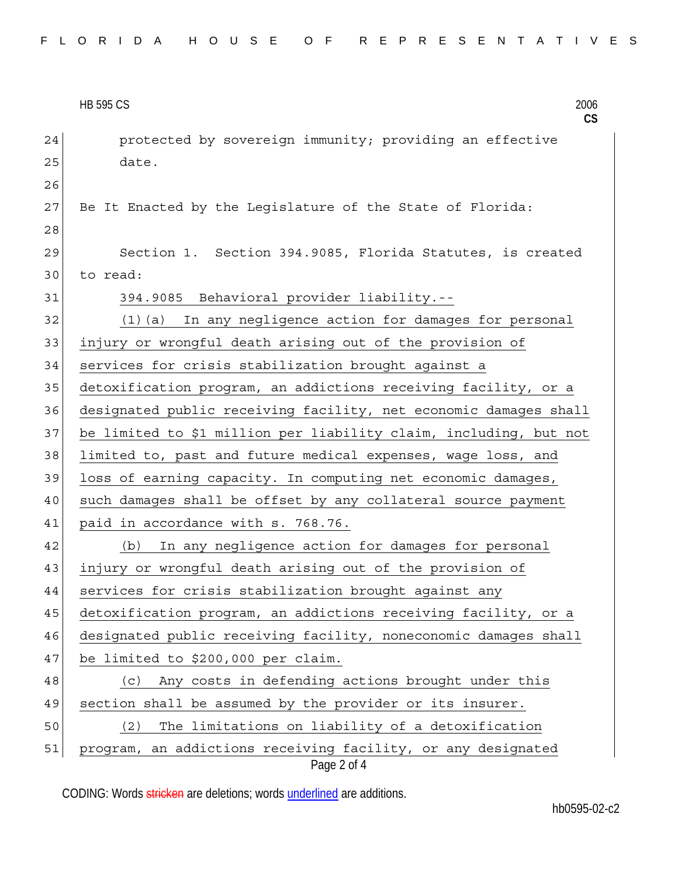|    | <b>HB 595 CS</b><br>2006<br>$\mathsf{CS}$                                   |
|----|-----------------------------------------------------------------------------|
| 24 | protected by sovereign immunity; providing an effective                     |
| 25 | date.                                                                       |
| 26 |                                                                             |
| 27 | Be It Enacted by the Legislature of the State of Florida:                   |
| 28 |                                                                             |
| 29 | Section 1. Section 394.9085, Florida Statutes, is created                   |
| 30 | to read:                                                                    |
| 31 | 394.9085 Behavioral provider liability.--                                   |
| 32 | (1)(a) In any negligence action for damages for personal                    |
| 33 | injury or wrongful death arising out of the provision of                    |
| 34 | services for crisis stabilization brought against a                         |
| 35 | detoxification program, an addictions receiving facility, or a              |
| 36 | designated public receiving facility, net economic damages shall            |
| 37 | be limited to \$1 million per liability claim, including, but not           |
| 38 | limited to, past and future medical expenses, wage loss, and                |
| 39 | loss of earning capacity. In computing net economic damages,                |
| 40 | such damages shall be offset by any collateral source payment               |
| 41 | paid in accordance with s. 768.76.                                          |
| 42 | In any negligence action for damages for personal<br>(b)                    |
| 43 | injury or wrongful death arising out of the provision of                    |
| 44 | services for crisis stabilization brought against any                       |
| 45 | detoxification program, an addictions receiving facility, or a              |
| 46 | designated public receiving facility, noneconomic damages shall             |
| 47 | be limited to \$200,000 per claim.                                          |
| 48 | Any costs in defending actions brought under this<br>(c)                    |
| 49 | section shall be assumed by the provider or its insurer.                    |
| 50 | The limitations on liability of a detoxification<br>(2)                     |
| 51 | program, an addictions receiving facility, or any designated<br>Page 2 of 4 |

CODING: Words stricken are deletions; words **underlined** are additions.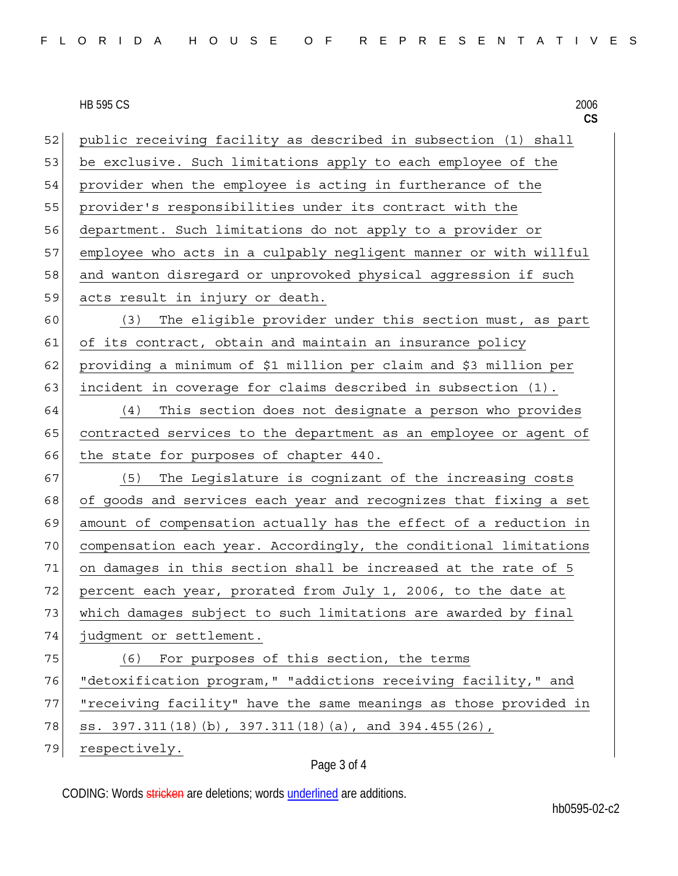| FLORIDA HOUSE OF REPRESENTATIVES |
|----------------------------------|
|----------------------------------|

## **HB 595 CS** HB 595 CS 2006

|    | <b>HB 595 CS</b><br>2006<br>CS                                   |
|----|------------------------------------------------------------------|
| 52 | public receiving facility as described in subsection (1) shall   |
| 53 | be exclusive. Such limitations apply to each employee of the     |
| 54 | provider when the employee is acting in furtherance of the       |
| 55 | provider's responsibilities under its contract with the          |
| 56 | department. Such limitations do not apply to a provider or       |
| 57 | employee who acts in a culpably negligent manner or with willful |
| 58 | and wanton disregard or unprovoked physical aggression if such   |
| 59 | acts result in injury or death.                                  |
| 60 | The eligible provider under this section must, as part<br>(3)    |
| 61 | of its contract, obtain and maintain an insurance policy         |
| 62 | providing a minimum of \$1 million per claim and \$3 million per |
| 63 | incident in coverage for claims described in subsection (1).     |
| 64 | This section does not designate a person who provides<br>(4)     |
| 65 | contracted services to the department as an employee or agent of |
| 66 | the state for purposes of chapter 440.                           |
| 67 | The Legislature is cognizant of the increasing costs<br>(5)      |
| 68 | of goods and services each year and recognizes that fixing a set |
| 69 | amount of compensation actually has the effect of a reduction in |
| 70 | compensation each year. Accordingly, the conditional limitations |
| 71 | on damages in this section shall be increased at the rate of 5   |
| 72 | percent each year, prorated from July 1, 2006, to the date at    |
| 73 | which damages subject to such limitations are awarded by final   |
| 74 | judgment or settlement.                                          |
| 75 | For purposes of this section, the terms<br>(6)                   |
| 76 | "detoxification program, " "addictions receiving facility, " and |
| 77 | "receiving facility" have the same meanings as those provided in |
| 78 | ss. 397.311(18)(b), 397.311(18)(a), and 394.455(26),             |
| 79 | respectively.                                                    |

## Page 3 of 4

CODING: Words stricken are deletions; words underlined are additions.